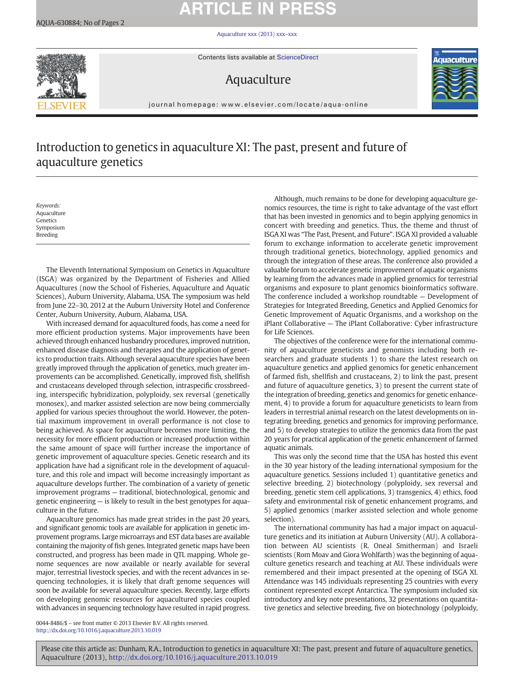## **ARTICLE IN PRESS**

[Aquaculture xxx \(2013\) xxx](http://dx.doi.org/10.1016/j.aquaculture.2013.10.019)–xxx



Contents lists available at ScienceDirect

## Aquaculture



journal homepage: www.elsevier.com/locate/aqua-online

## Introduction to genetics in aquaculture XI: The past, present and future of aquaculture genetics

Keywords: Aquaculture Genetics Symposium Breeding

The Eleventh International Symposium on Genetics in Aquaculture (ISGA) was organized by the Department of Fisheries and Allied Aquacultures (now the School of Fisheries, Aquaculture and Aquatic Sciences), Auburn University, Alabama, USA. The symposium was held from June 22–30, 2012 at the Auburn University Hotel and Conference Center, Auburn University, Auburn, Alabama, USA.

With increased demand for aquacultured foods, has come a need for more efficient production systems. Major improvements have been achieved through enhanced husbandry procedures, improved nutrition, enhanced disease diagnosis and therapies and the application of genetics to production traits. Although several aquaculture species have been greatly improved through the application of genetics, much greater improvements can be accomplished. Genetically, improved fish, shellfish and crustaceans developed through selection, intraspecific crossbreeding, interspecific hybridization, polyploidy, sex reversal (genetically monosex), and marker assisted selection are now being commercially applied for various species throughout the world. However, the potential maximum improvement in overall performance is not close to being achieved. As space for aquaculture becomes more limiting, the necessity for more efficient production or increased production within the same amount of space will further increase the importance of genetic improvement of aquaculture species. Genetic research and its application have had a significant role in the development of aquaculture, and this role and impact will become increasingly important as aquaculture develops further. The combination of a variety of genetic improvement programs — traditional, biotechnological, genomic and genetic engineering — is likely to result in the best genotypes for aquaculture in the future.

Aquaculture genomics has made great strides in the past 20 years, and significant genomic tools are available for application in genetic improvement programs. Large microarrays and EST data bases are available containing the majority of fish genes. Integrated genetic maps have been constructed, and progress has been made in QTL mapping. Whole genome sequences are now available or nearly available for several major, terrestrial livestock species, and with the recent advances in sequencing technologies, it is likely that draft genome sequences will soon be available for several aquaculture species. Recently, large efforts on developing genomic resources for aquacultured species coupled with advances in sequencing technology have resulted in rapid progress.

Although, much remains to be done for developing aquaculture genomics resources, the time is right to take advantage of the vast effort that has been invested in genomics and to begin applying genomics in concert with breeding and genetics. Thus, the theme and thrust of ISGA XI was "The Past, Present, and Future". ISGA XI provided a valuable forum to exchange information to accelerate genetic improvement through traditional genetics, biotechnology, applied genomics and through the integration of these areas. The conference also provided a valuable forum to accelerate genetic improvement of aquatic organisms by learning from the advances made in applied genomics for terrestrial organisms and exposure to plant genomics bioinformatics software. The conference included a workshop roundtable — Development of Strategies for Integrated Breeding, Genetics and Applied Genomics for Genetic Improvement of Aquatic Organisms, and a workshop on the iPlant Collaborative — The iPlant Collaborative: Cyber infrastructure for Life Sciences.

The objectives of the conference were for the international community of aquaculture geneticists and genomists including both researchers and graduate students 1) to share the latest research on aquaculture genetics and applied genomics for genetic enhancement of farmed fish, shellfish and crustaceans, 2) to link the past, present and future of aquaculture genetics, 3) to present the current state of the integration of breeding, genetics and genomics for genetic enhancement, 4) to provide a forum for aquaculture geneticists to learn from leaders in terrestrial animal research on the latest developments on integrating breeding, genetics and genomics for improving performance, and 5) to develop strategies to utilize the genomics data from the past 20 years for practical application of the genetic enhancement of farmed aquatic animals.

This was only the second time that the USA has hosted this event in the 30 year history of the leading international symposium for the aquaculture genetics. Sessions included 1) quantitative genetics and selective breeding, 2) biotechnology (polyploidy, sex reversal and breeding, genetic stem cell applications, 3) transgenics, 4) ethics, food safety and environmental risk of genetic enhancement programs, and 5) applied genomics (marker assisted selection and whole genome selection).

The international community has had a major impact on aquaculture genetics and its initiation at Auburn University (AU). A collaboration between AU scientists (R. Oneal Smitherman) and Israeli scientists (Rom Moav and Giora Wohlfarth) was the beginning of aquaculture genetics research and teaching at AU. These individuals were remembered and their impact presented at the opening of ISGA XI. Attendance was 145 individuals representing 25 countries with every continent represented except Antarctica. The symposium included six introductory and key note presentations, 32 presentations on quantitative genetics and selective breeding, five on biotechnology (polyploidy,

0044-8486/\$ – see front matter © 2013 Elsevier B.V. All rights reserved. <http://dx.doi.org/10.1016/j.aquaculture.2013.10.019>

Please cite this article as: Dunham, R.A., Introduction to genetics in aquaculture XI: The past, present and future of aquaculture genetics, Aquaculture (2013), <http://dx.doi.org/10.1016/j.aquaculture.2013.10.019>